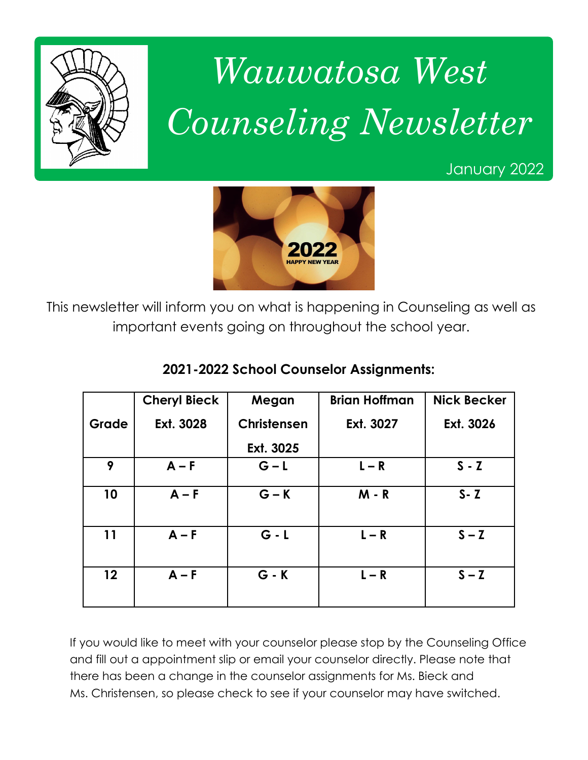

# *Wauwatosa West Counseling Newsletter*

January 2022



This newsletter will inform you on what is happening in Counseling as well as important events going on throughout the school year.

|                 | <b>Cheryl Bieck</b> | Megan       | <b>Brian Hoffman</b> | <b>Nick Becker</b> |
|-----------------|---------------------|-------------|----------------------|--------------------|
| Grade           | Ext. 3028           | Christensen | Ext. 3027            | Ext. 3026          |
|                 |                     | Ext. 3025   |                      |                    |
| 9               | $A - F$             | $G - L$     | $L - R$              | $S - Z$            |
| 10              | $A - F$             | $G - K$     | $M - R$              | $S - Z$            |
| 11              | $A - F$             | $G - L$     | $L - R$              | $S - Z$            |
| 12 <sup>2</sup> | $A - F$             | $G - K$     | $L - R$              | $S - Z$            |

#### **2021-2022 School Counselor Assignments:**

If you would like to meet with your counselor please stop by the Counseling Office and fill out a appointment slip or email your counselor directly. Please note that there has been a change in the counselor assignments for Ms. Bieck and Ms. Christensen, so please check to see if your counselor may have switched.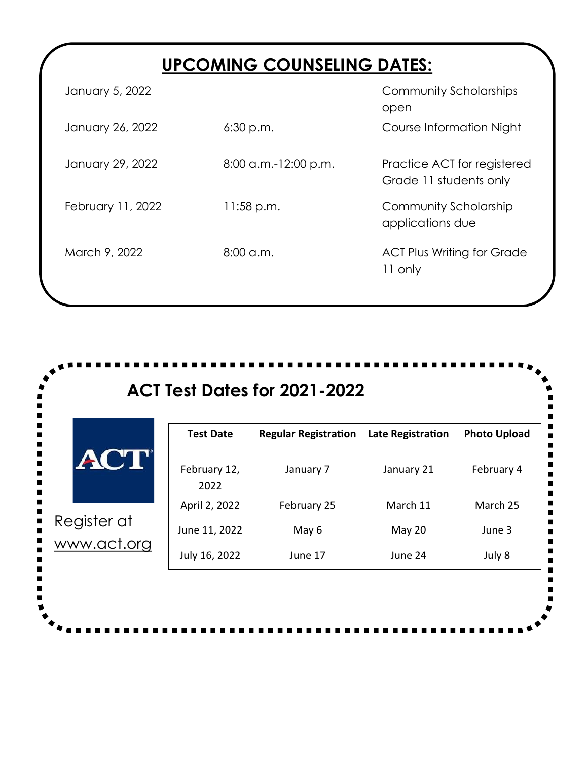# **UPCOMING COUNSELING DATES:**

| January 5, 2022   |                        | Community Scholarships<br>open                        |
|-------------------|------------------------|-------------------------------------------------------|
| January 26, 2022  | 6:30 p.m.              | Course Information Night                              |
| January 29, 2022  | $8:00$ a.m.-12:00 p.m. | Practice ACT for registered<br>Grade 11 students only |
| February 11, 2022 | $11:58$ p.m.           | Community Scholarship<br>applications due             |
| March 9, 2022     | $8:00$ a.m.            | <b>ACT Plus Writing for Grade</b><br>11 only          |
|                   |                        |                                                       |

|             | <b>Test Date</b>     | <b>Regular Registration</b> | <b>Late Registration</b> | <b>Photo Upload</b> |
|-------------|----------------------|-----------------------------|--------------------------|---------------------|
| <b>ACT</b>  | February 12,<br>2022 | January 7                   | January 21               | February 4          |
|             | April 2, 2022        | February 25                 | March 11                 | March 25            |
| Register at | June 11, 2022        | May 6                       | May 20                   | June 3              |
| www.act.org | July 16, 2022        | June 17                     | June 24                  | July 8              |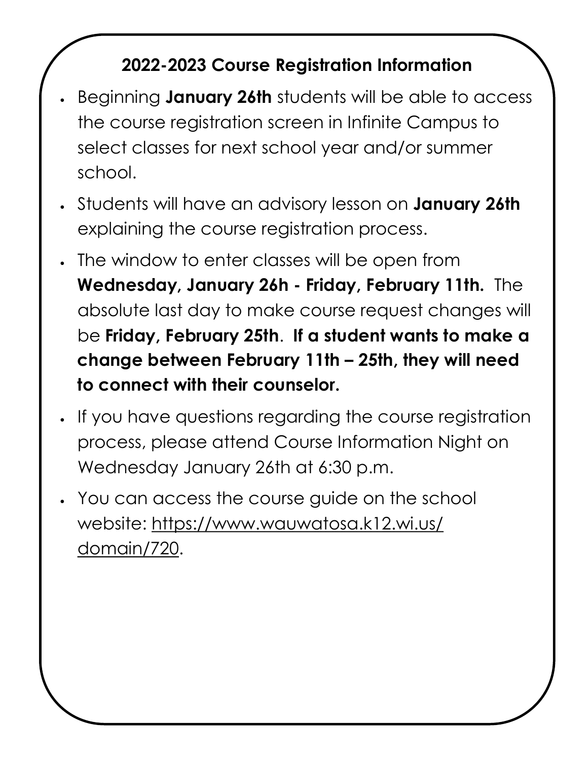# **2022-2023 Course Registration Information**

- Beginning **January 26th** students will be able to access the course registration screen in Infinite Campus to select classes for next school year and/or summer school.
- Students will have an advisory lesson on **January 26th** explaining the course registration process.
- The window to enter classes will be open from **Wednesday, January 26h - Friday, February 11th.** The absolute last day to make course request changes will be **Friday, February 25th**. **If a student wants to make a change between February 11th – 25th, they will need to connect with their counselor.**
- If you have questions regarding the course registration process, please attend Course Information Night on Wednesday January 26th at 6:30 p.m.
- You can access the course guide on the school website: [https://www.wauwatosa.k12.wi.us/](https://www.wauwatosa.k12.wi.us/domain/720) [domain/720.](https://www.wauwatosa.k12.wi.us/domain/720)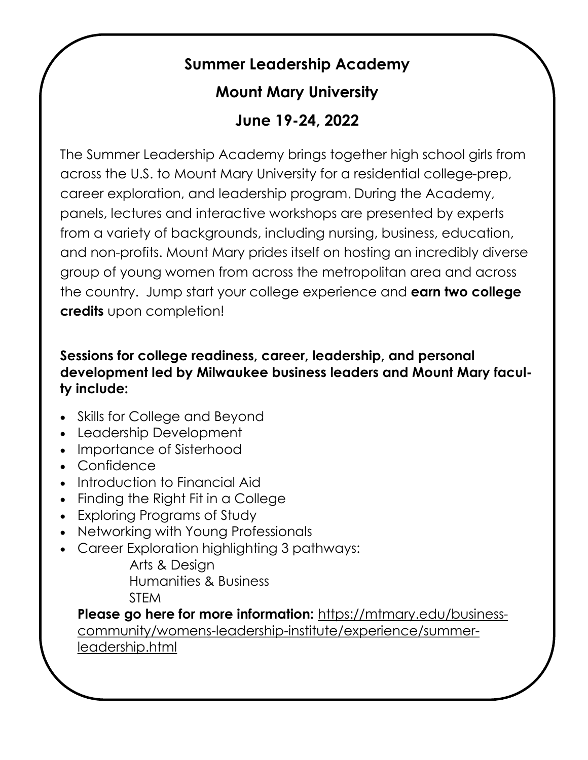# **Summer Leadership Academy**

## **Mount Mary University**

### **June 19-24, 2022**

The Summer Leadership Academy brings together high school girls from across the U.S. to Mount Mary University for a residential college-prep, career exploration, and leadership program. During the Academy, panels, lectures and interactive workshops are presented by experts from a variety of backgrounds, including nursing, business, education, and non-profits. Mount Mary prides itself on hosting an incredibly diverse group of young women from across the metropolitan area and across the country. Jump start your college experience and **earn two college credits** upon completion!

#### **Sessions for college readiness, career, leadership, and personal development led by Milwaukee business leaders and Mount Mary faculty include:**

- Skills for College and Beyond
- Leadership Development
- Importance of Sisterhood
- Confidence
- Introduction to Financial Aid
- Finding the Right Fit in a College
- Exploring Programs of Study
- Networking with Young Professionals
- Career Exploration highlighting 3 pathways:

Arts & Design Humanities & Business **STEM** 

**Please go here for more information:** [https://mtmary.edu/business](https://mtmary.edu/business-community/womens-leadership-institute/experience/summer-leadership.html)[community/womens-leadership-institute/experience/summer](https://mtmary.edu/business-community/womens-leadership-institute/experience/summer-leadership.html)[leadership.html](https://mtmary.edu/business-community/womens-leadership-institute/experience/summer-leadership.html)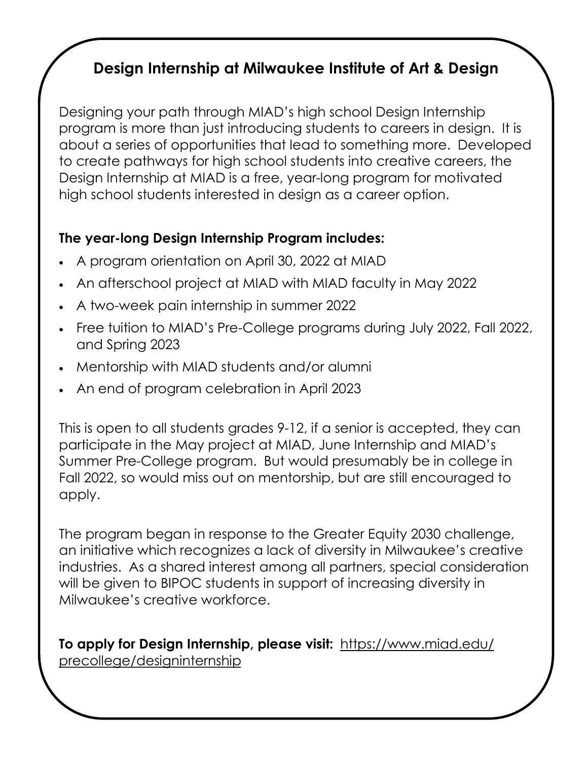# **Design Internship at Milwaukee Institute of Art & Design**

Designing your path through MIAD's high school Design Internship program is more than just introducing students to careers in design. It is [about a series of opportunities that lead to something more. Developed](https://www.wauwatosa.k12.wi.us/cms/lib/WI02216059/Centricity/domain/182/sfap/Student Family Assistance Program Brochure.pdf)  to create pathways for high school students into creative careers, the Design Internship at MIAD is a free, year-long program for motivated high school students interested in design as a career option.

#### **The year-long Design Internship Program includes:**

- A program orientation on April 30, 2022 at MIAD
- An afterschool project at MIAD with MIAD faculty in May 2022
- A two-week pain internship in summer 2022
- Free tuition to MIAD's Pre-College programs during July 2022, Fall 2022, and Spring 2023
- Mentorship with MIAD students and/or alumni
- An end of program celebration in April 2023

This is open to all students grades 9-12, if a senior is accepted, they can participate in the May project at MIAD, June Internship and MIAD's Summer Pre-College program. But would presumably be in college in Fall 2022, so would miss out on mentorship, but are still encouraged to apply.

The program began in response to the Greater Equity 2030 challenge, an initiative which recognizes a lack of diversity in Milwaukee's creative industries. As a shared interest among all partners, special consideration will be given to BIPOC students in support of increasing diversity in Milwaukee's creative workforce.

**To apply for Design Internship, please visit:** [https://www.miad.edu/](https://www.miad.edu/precollege/designinternship) [precollege/designinternship](https://www.miad.edu/precollege/designinternship)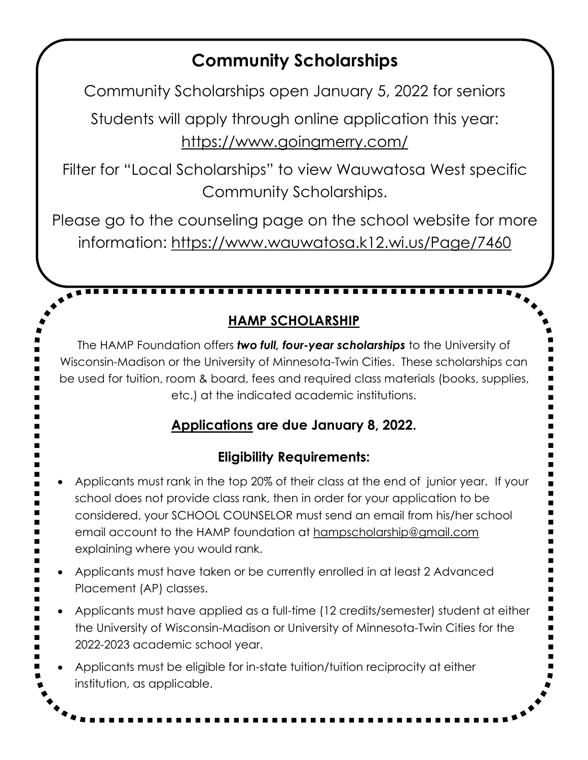# **Community Scholarships**

Community Scholarships open January 5, 2022 for seniors

Students will apply through online application this year: <https://www.goingmerry.com/>

Filter for "Local Scholarships" to view Wauwatosa West specific Community Scholarships.

Please go to the counseling page on the school website for more information:<https://www.wauwatosa.k12.wi.us/Page/7460>

**HAMP SCHOLARSHIP**

**. . . . . . . . . . . . . . .** 

The HAMP Foundation offers *two full, four-year scholarships* to the University of Wisconsin-Madison or the University of Minnesota-Twin Cities. These scholarships can be used for tuition, room & board, fees and required class materials (books, supplies, etc.) at the indicated academic institutions.

#### **[Applications](https://sites.google.com/view/hampfoundation/how-to-apply?authuser=0) are due January 8, 2022.**

#### **Eligibility Requirements:**

- Applicants must rank in the top 20% of their class at the end of junior year. If your school does not provide class rank, then in order for your application to be considered, your SCHOOL COUNSELOR must send an email from his/her school email account to the HAMP foundation at [hampscholarship@gmail.com](https://mail.google.com/mail/?view=cm&fs=1&tf=1&to=hampscholarship@gmail.com)  explaining where you would rank.
- Applicants must have taken or be currently enrolled in at least 2 Advanced Placement (AP) classes.
- Applicants must have applied as a full-time (12 credits/semester) student at either the University of Wisconsin-Madison or University of Minnesota-Twin Cities for the 2022-2023 academic school year.
- Applicants must be eligible for in-state tuition/tuition reciprocity at either institution, as applicable.